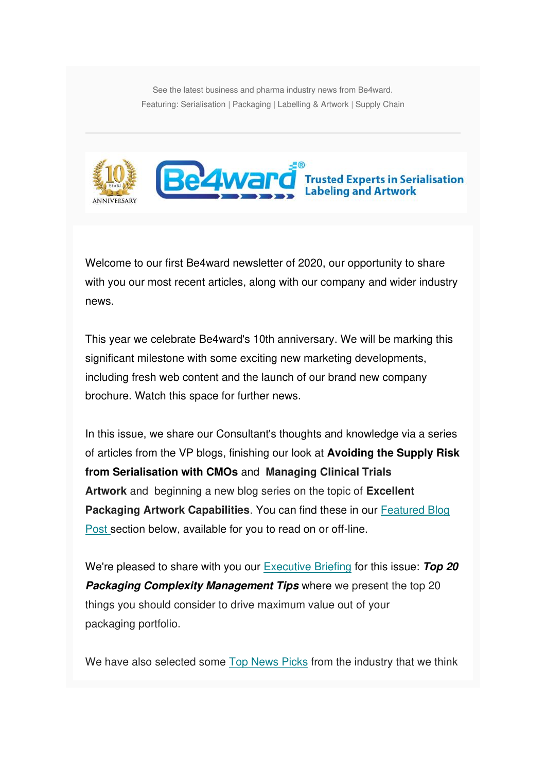See the latest business and pharma industry news from Be4ward. Featuring: Serialisation | Packaging | Labelling & Artwork | Supply Chain



Welcome to our first Be4ward newsletter of 2020, our opportunity to share with you our most recent articles, along with our company and wider industry news.

This year we celebrate Be4ward's 10th anniversary. We will be marking this significant milestone with some exciting new marketing developments, including fresh web content and the launch of our brand new company brochure. Watch this space for further news.

In this issue, we share our Consultant's thoughts and knowledge via a series of articles from the VP blogs, finishing our look at **Avoiding the Supply Risk from Serialisation with CMOs** and **Managing Clinical Trials Artwork** and beginning a new blog series on the topic of **Excellent Packaging Artwork Capabilities**. You can find these in our [Featured Blog](https://us5.admin.mailchimp.com/campaigns/preview-content-html?id=1383627#Blogs by Stephen)  [Post s](https://us5.admin.mailchimp.com/campaigns/preview-content-html?id=1383627#Blogs by Stephen)ection below, available for you to read on or off-line.

We're pleased to share with you our [Executive Briefing](https://us5.admin.mailchimp.com/campaigns/preview-content-html?id=1383627#EXECUTIVE BRIEFING) for this issue: **Top 20 Packaging Complexity Management Tips where we present the top 20** things you should consider to drive maximum value out of your packaging portfolio.

We have also selected some [Top News Picks](https://us5.admin.mailchimp.com/campaigns/preview-content-html?id=1383627#TOPNEWSPICKS) from the industry that we think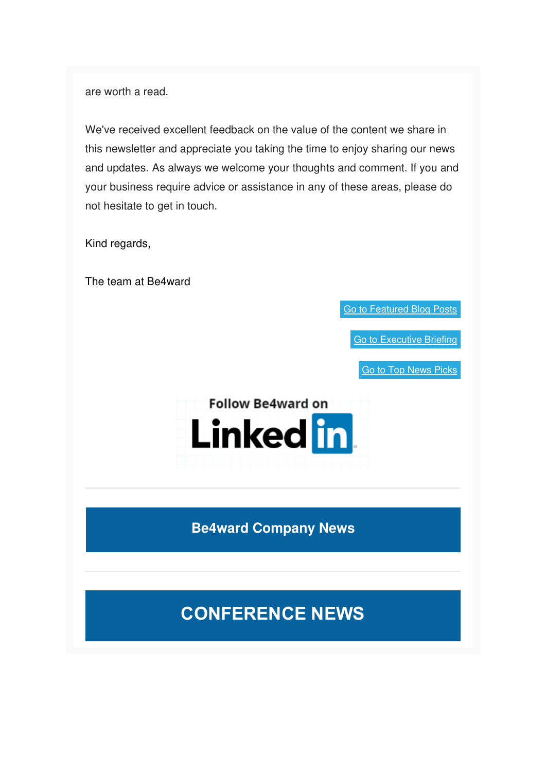are worth a read.

We've received excellent feedback on the value of the content we share in this newsletter and appreciate you taking the time to enjoy sharing our news and updates. As always we welcome your thoughts and comment. If you and your business require advice or assistance in any of these areas, please do not hesitate to get in touch.

Kind regards,

The team at Be4ward

[Go to Featured Blog Posts](https://us5.admin.mailchimp.com/campaigns/preview-content-html?id=1383627#BLOGS BY Andrew)

[Go to Executive Briefing](https://us5.admin.mailchimp.com/campaigns/preview-content-html?id=1383627#EXECUTIVE BRIEFING)

[Go to Top News Picks](https://us5.admin.mailchimp.com/campaigns/preview-content-html?id=1383627#TOPNEWSPICKS)



**Be4ward Company News**

## **CONFERENCE NEWS**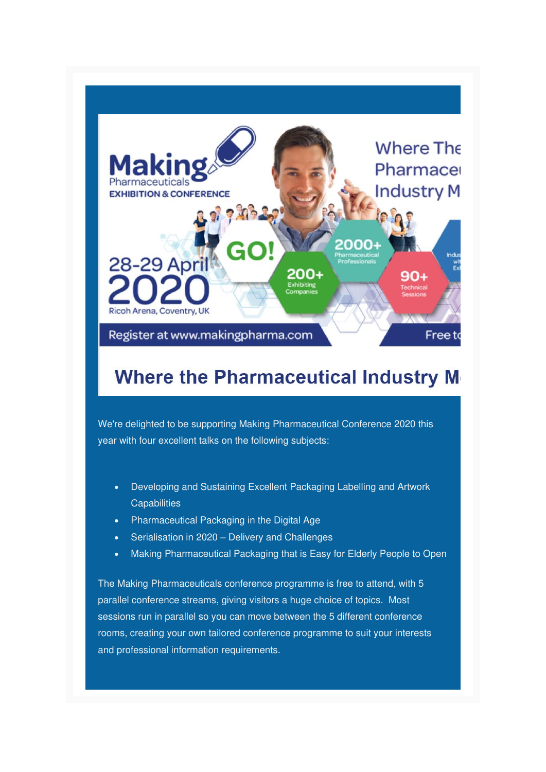

## **Where the Pharmaceutical Industry M**

We're delighted to be supporting Making Pharmaceutical Conference 2020 this year with four excellent talks on the following subjects:

- Developing and Sustaining Excellent Packaging Labelling and Artwork **Capabilities**
- Pharmaceutical Packaging in the Digital Age
- Serialisation in 2020 Delivery and Challenges
- Making Pharmaceutical Packaging that is Easy for Elderly People to Open

The Making Pharmaceuticals conference programme is free to attend, with 5 parallel conference streams, giving visitors a huge choice of topics. Most sessions run in parallel so you can move between the 5 different conference rooms, creating your own tailored conference programme to suit your interests and professional information requirements.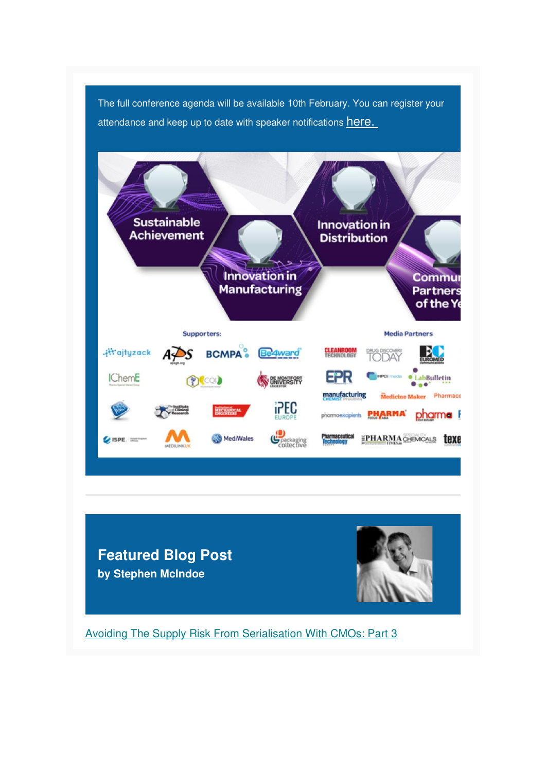The full conference agenda will be available 10th February. You can register your attendance and keep up to date with speaker notifications here.



**Featured Blog Post by Stephen McIndoe**



[Avoiding The Supply Risk From Serialisation With CMOs: Part 3](https://www.be4ward.com/blogstephenmcindoe/2019/11/30/avoiding-the-supply-risk-from-serialisation-with-cmos-part-3-2/)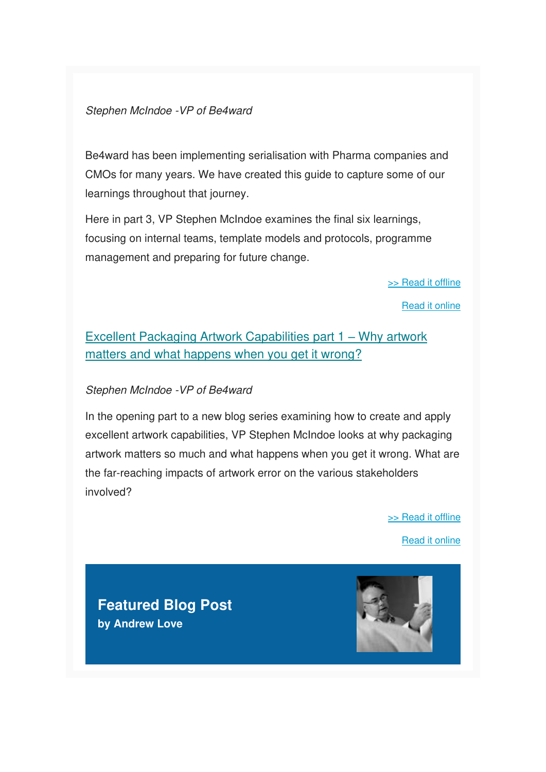#### Stephen McIndoe -VP of Be4ward

Be4ward has been implementing serialisation with Pharma companies and CMOs for many years. We have created this guide to capture some of our learnings throughout that journey.

Here in part 3, VP Stephen McIndoe examines the final six learnings, focusing on internal teams, template models and protocols, programme management and preparing for future change.

[>> Read it offline](https://us5.admin.mailchimp.com/campaigns/preview-content-html?id=1383627#SM Blog 1)

[Read it online](https://www.be4ward.com/blogstephenmcindoe/2019/11/30/avoiding-the-supply-risk-from-serialisation-with-cmos-part-3-2/)

### [Excellent Packaging Artwork Capabilities part 1](https://www.be4ward.com/blogstephenmcindoe/2020/01/30/excellent_packaging_artwork_1/) – Why artwork [matters and what happens when you get it wrong?](https://www.be4ward.com/blogstephenmcindoe/2020/01/30/excellent_packaging_artwork_1/)

#### Stephen McIndoe -VP of Be4ward

In the opening part to a new blog series examining how to create and apply excellent artwork capabilities, VP Stephen McIndoe looks at why packaging artwork matters so much and what happens when you get it wrong. What are the far-reaching impacts of artwork error on the various stakeholders involved?

[>> Read it offline](https://us5.admin.mailchimp.com/campaigns/preview-content-html?id=1383627#SM Blog 2)

[Read it online](https://www.be4ward.com/blogstephenmcindoe/2020/01/30/excellent_packaging_artwork_1/)

**Featured Blog Post by Andrew Love**

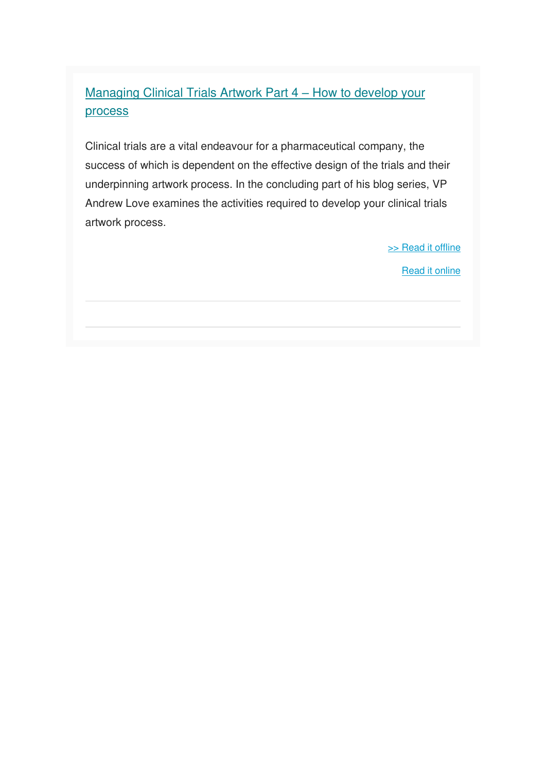## [Managing Clinical Trials Artwork Part 4](https://www.be4ward.com/blogandrewrlove/2020/01/30/managing-clinical-trials-artwork-part-4-how-to-develop-your-process/) – How to develop your [process](https://www.be4ward.com/blogandrewrlove/2020/01/30/managing-clinical-trials-artwork-part-4-how-to-develop-your-process/)

Clinical trials are a vital endeavour for a pharmaceutical company, the success of which is dependent on the effective design of the trials and their underpinning artwork process. In the concluding part of his blog series, VP Andrew Love examines the activities required to develop your clinical trials artwork process.

[>> Read it offline](https://us5.admin.mailchimp.com/campaigns/preview-content-html?id=1383627#AL Blog 1)

[Read it online](https://www.be4ward.com/blogandrewrlove/2020/01/30/managing-clinical-trials-artwork-part-4-how-to-develop-your-process/)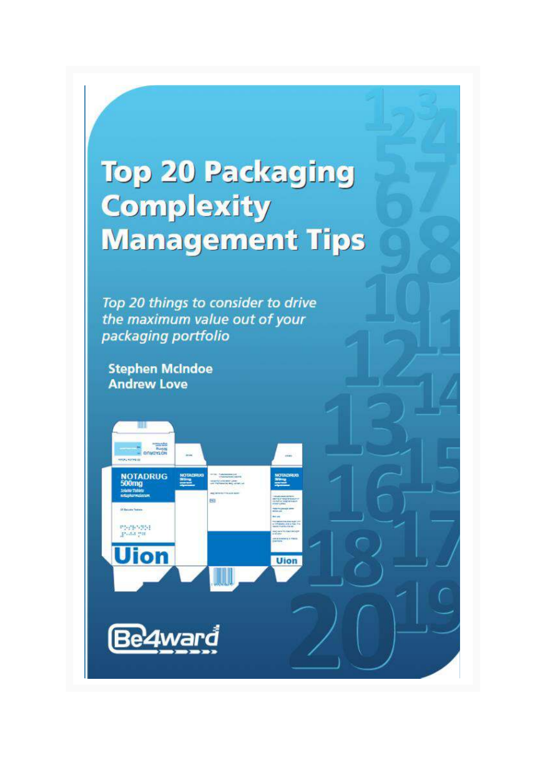# **Top 20 Packaging Complexity Management Tips**

**Uion** 

Top 20 things to consider to drive the maximum value out of your packaging portfolio

**Stephen McIndoe Andrew Love** 

DrivorLow

NOTADRUG<br>500mg

nterpropper<br>grada por

**Uion** 

Be4wa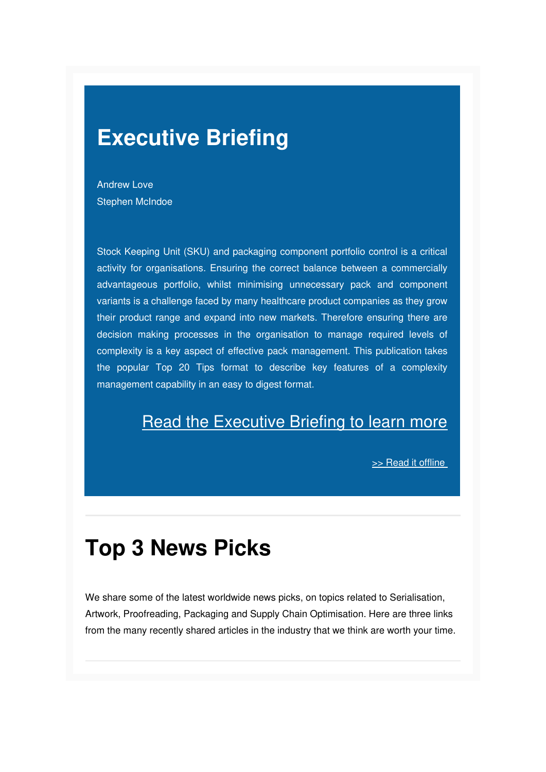## **Executive Briefing**

Andrew Love Stephen McIndoe

Stock Keeping Unit (SKU) and packaging component portfolio control is a critical activity for organisations. Ensuring the correct balance between a commercially advantageous portfolio, whilst minimising unnecessary pack and component variants is a challenge faced by many healthcare product companies as they grow their product range and expand into new markets. Therefore ensuring there are decision making processes in the organisation to manage required levels of complexity is a key aspect of effective pack management. This publication takes the popular Top 20 Tips format to describe key features of a complexity management capability in an easy to digest format.

## **[Read the Executive Briefing to learn more](https://mcusercontent.com/e26c7f2af713739ac392fa0ba/files/a775ec7b-66e6-4855-b9e1-f97dd762b9ec/Top_20_Packaging_Complexity_Tips_Be4ward.pdf)**

>> Read it offline

## **Top 3 News Picks**

We share some of the latest worldwide news picks, on topics related to Serialisation, Artwork, Proofreading, Packaging and Supply Chain Optimisation. Here are three links from the many recently shared articles in the industry that we think are worth your time.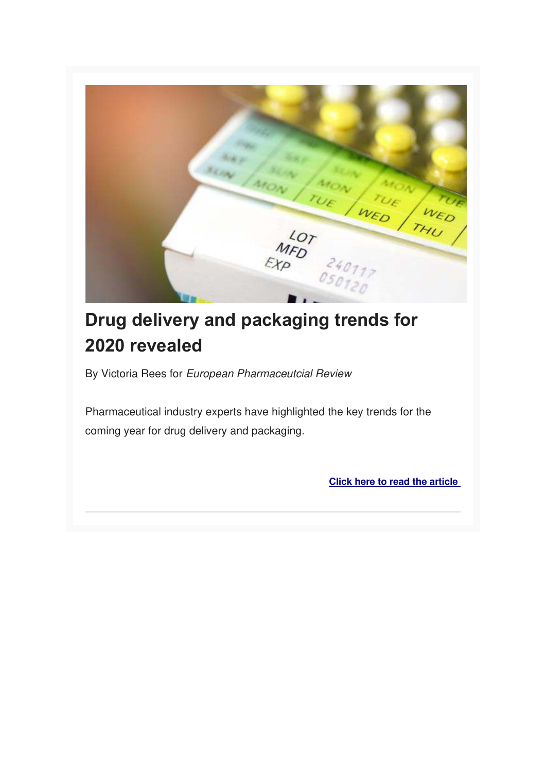

## **Drug delivery and packaging trends for 2020 revealed**

By Victoria Rees for European Pharmaceutcial Review

Pharmaceutical industry experts have highlighted the key trends for the coming year for drug delivery and packaging.

**[Click here to read the article](https://www.europeanpharmaceuticalreview.com/news/111602/drug-delivery-and-packaging-trends-for-2020-revealed/)**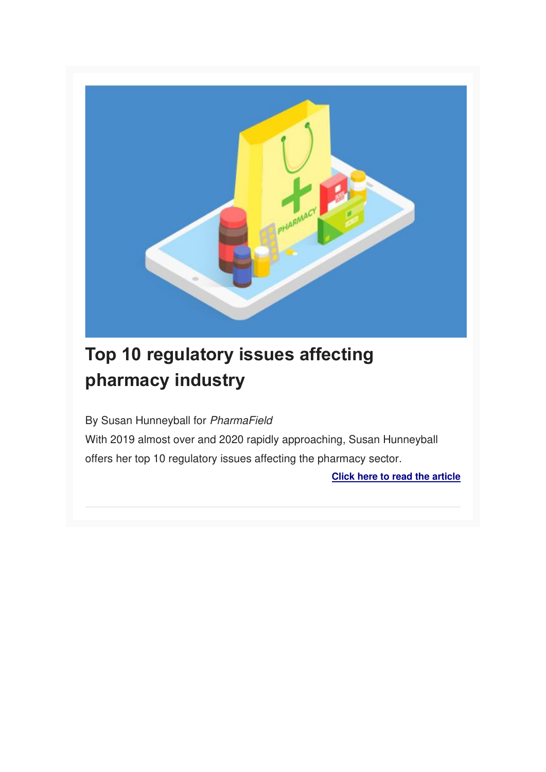

## **Top 10 regulatory issues affecting pharmacy industry**

By Susan Hunneyball for PharmaField

With 2019 almost over and 2020 rapidly approaching, Susan Hunneyball offers her top 10 regulatory issues affecting the pharmacy sector.

**[Click here to read the article](https://pharmafield.co.uk/healthcare/top-10-regulatory-issues-affecting-pharmacy-industry/)**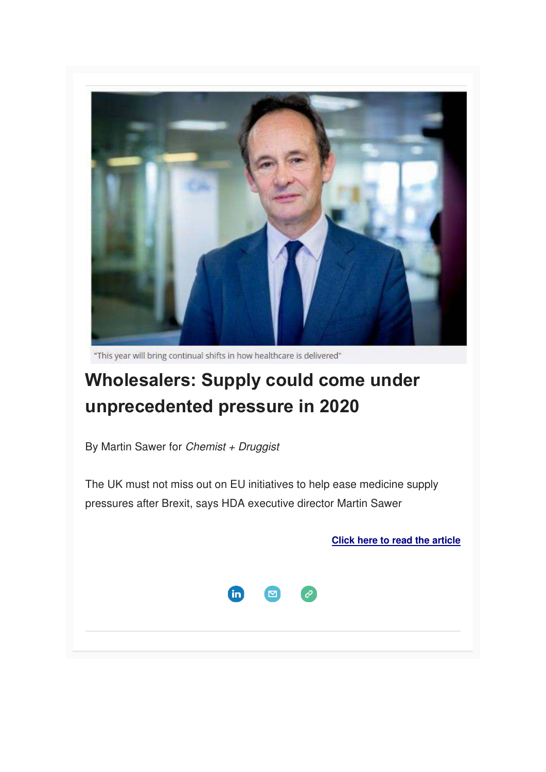

"This year will bring continual shifts in how healthcare is delivered"

## **Wholesalers: Supply could come under unprecedented pressure in 2020**

By Martin Sawer for Chemist  $+$  Druggist

The UK must not miss out on EU initiatives to help ease medicine supply pressures after Brexit, says HDA executive director Martin Sawer

**[Click here to read the article](https://www.chemistanddruggist.co.uk/opinion/wholesaler-body-hda-2020-medicines-supply-pressure)**



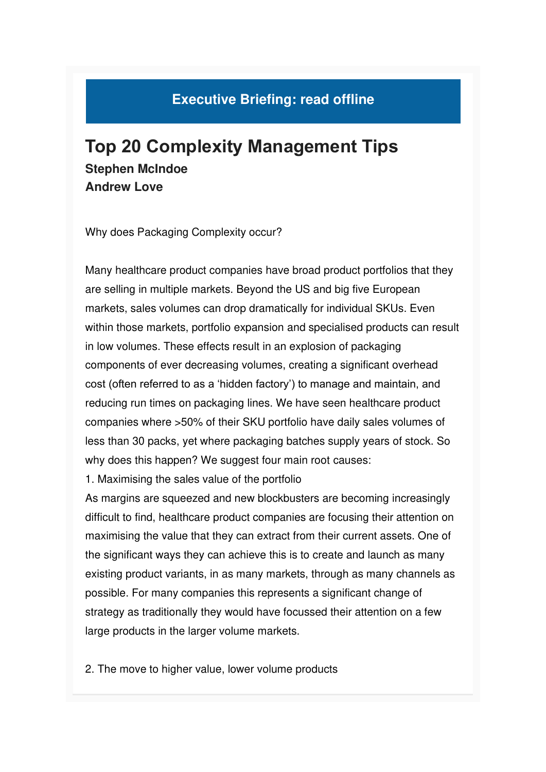## **Executive Briefing: read offline**

## **Top 20 Complexity Management Tips Stephen McIndoe Andrew Love**

Why does Packaging Complexity occur?

Many healthcare product companies have broad product portfolios that they are selling in multiple markets. Beyond the US and big five European markets, sales volumes can drop dramatically for individual SKUs. Even within those markets, portfolio expansion and specialised products can result in low volumes. These effects result in an explosion of packaging components of ever decreasing volumes, creating a significant overhead cost (often referred to as a 'hidden factory') to manage and maintain, and reducing run times on packaging lines. We have seen healthcare product companies where >50% of their SKU portfolio have daily sales volumes of less than 30 packs, yet where packaging batches supply years of stock. So why does this happen? We suggest four main root causes:

1. Maximising the sales value of the portfolio

As margins are squeezed and new blockbusters are becoming increasingly difficult to find, healthcare product companies are focusing their attention on maximising the value that they can extract from their current assets. One of the significant ways they can achieve this is to create and launch as many existing product variants, in as many markets, through as many channels as possible. For many companies this represents a significant change of strategy as traditionally they would have focussed their attention on a few large products in the larger volume markets.

2. The move to higher value, lower volume products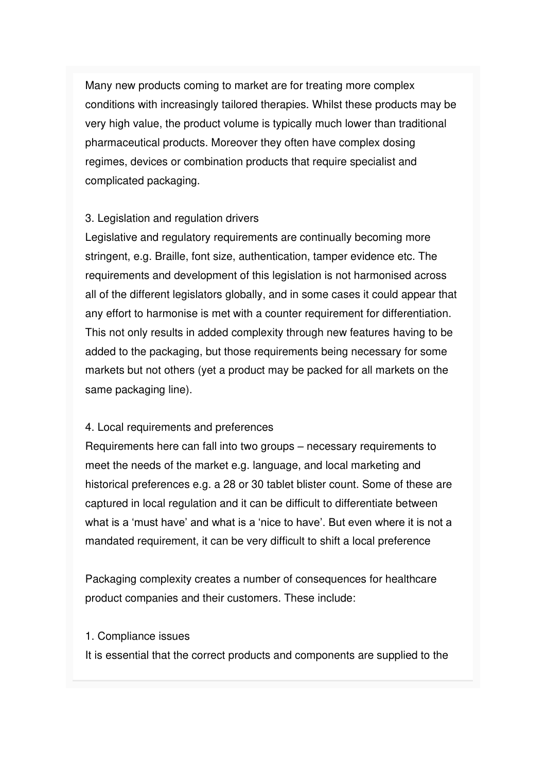Many new products coming to market are for treating more complex conditions with increasingly tailored therapies. Whilst these products may be very high value, the product volume is typically much lower than traditional pharmaceutical products. Moreover they often have complex dosing regimes, devices or combination products that require specialist and complicated packaging.

#### 3. Legislation and regulation drivers

Legislative and regulatory requirements are continually becoming more stringent, e.g. Braille, font size, authentication, tamper evidence etc. The requirements and development of this legislation is not harmonised across all of the different legislators globally, and in some cases it could appear that any effort to harmonise is met with a counter requirement for differentiation. This not only results in added complexity through new features having to be added to the packaging, but those requirements being necessary for some markets but not others (yet a product may be packed for all markets on the same packaging line).

#### 4. Local requirements and preferences

Requirements here can fall into two groups – necessary requirements to meet the needs of the market e.g. language, and local marketing and historical preferences e.g. a 28 or 30 tablet blister count. Some of these are captured in local regulation and it can be difficult to differentiate between what is a 'must have' and what is a 'nice to have'. But even where it is not a mandated requirement, it can be very difficult to shift a local preference

Packaging complexity creates a number of consequences for healthcare product companies and their customers. These include:

#### 1. Compliance issues

It is essential that the correct products and components are supplied to the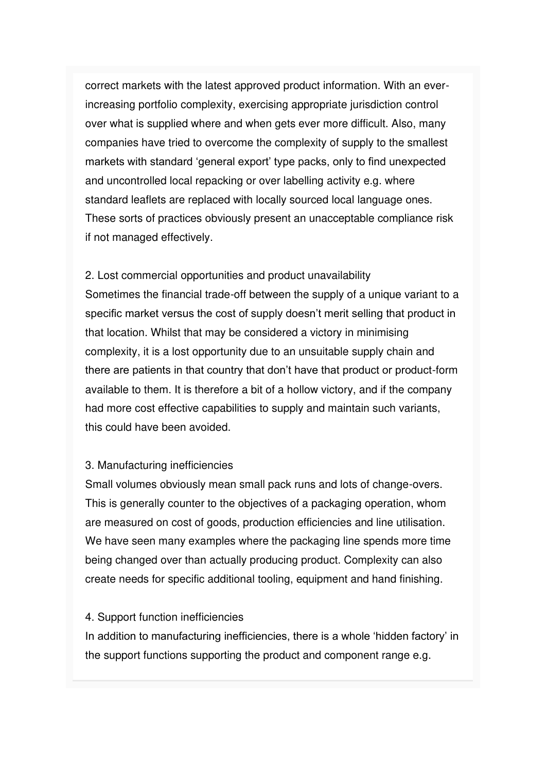correct markets with the latest approved product information. With an everincreasing portfolio complexity, exercising appropriate jurisdiction control over what is supplied where and when gets ever more difficult. Also, many companies have tried to overcome the complexity of supply to the smallest markets with standard 'general export' type packs, only to find unexpected and uncontrolled local repacking or over labelling activity e.g. where standard leaflets are replaced with locally sourced local language ones. These sorts of practices obviously present an unacceptable compliance risk if not managed effectively.

#### 2. Lost commercial opportunities and product unavailability

Sometimes the financial trade-off between the supply of a unique variant to a specific market versus the cost of supply doesn't merit selling that product in that location. Whilst that may be considered a victory in minimising complexity, it is a lost opportunity due to an unsuitable supply chain and there are patients in that country that don't have that product or product-form available to them. It is therefore a bit of a hollow victory, and if the company had more cost effective capabilities to supply and maintain such variants, this could have been avoided.

#### 3. Manufacturing inefficiencies

Small volumes obviously mean small pack runs and lots of change-overs. This is generally counter to the objectives of a packaging operation, whom are measured on cost of goods, production efficiencies and line utilisation. We have seen many examples where the packaging line spends more time being changed over than actually producing product. Complexity can also create needs for specific additional tooling, equipment and hand finishing.

#### 4. Support function inefficiencies

In addition to manufacturing inefficiencies, there is a whole 'hidden factory' in the support functions supporting the product and component range e.g.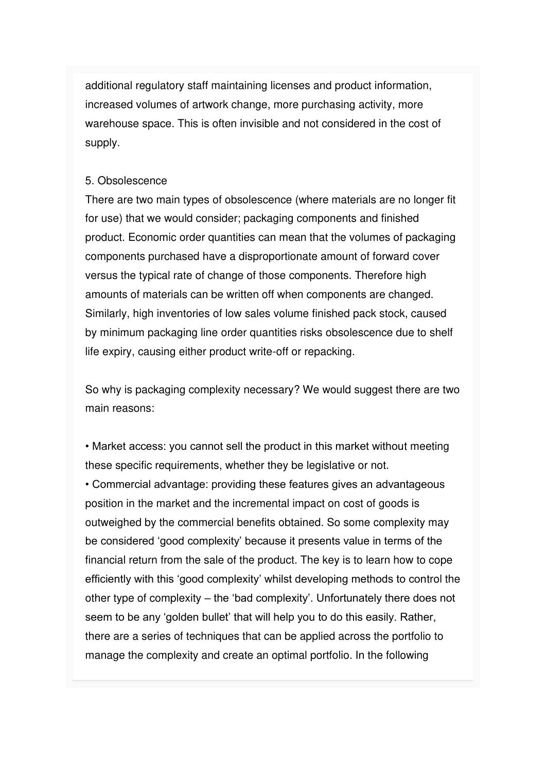additional regulatory staff maintaining licenses and product information, increased volumes of artwork change, more purchasing activity, more warehouse space. This is often invisible and not considered in the cost of supply.

#### 5. Obsolescence

There are two main types of obsolescence (where materials are no longer fit for use) that we would consider; packaging components and finished product. Economic order quantities can mean that the volumes of packaging components purchased have a disproportionate amount of forward cover versus the typical rate of change of those components. Therefore high amounts of materials can be written off when components are changed. Similarly, high inventories of low sales volume finished pack stock, caused by minimum packaging line order quantities risks obsolescence due to shelf life expiry, causing either product write-off or repacking.

So why is packaging complexity necessary? We would suggest there are two main reasons:

• Market access: you cannot sell the product in this market without meeting these specific requirements, whether they be legislative or not.

• Commercial advantage: providing these features gives an advantageous position in the market and the incremental impact on cost of goods is outweighed by the commercial benefits obtained. So some complexity may be considered 'good complexity' because it presents value in terms of the financial return from the sale of the product. The key is to learn how to cope efficiently with this 'good complexity' whilst developing methods to control the other type of complexity – the 'bad complexity'. Unfortunately there does not seem to be any 'golden bullet' that will help you to do this easily. Rather, there are a series of techniques that can be applied across the portfolio to manage the complexity and create an optimal portfolio. In the following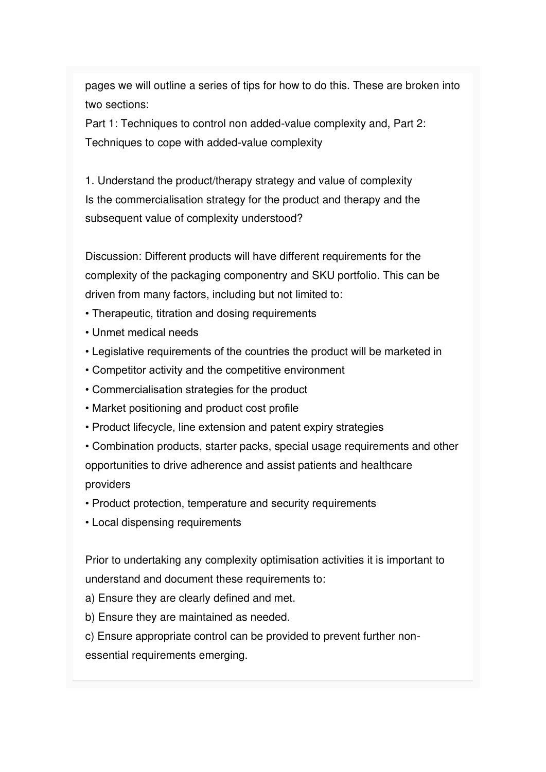pages we will outline a series of tips for how to do this. These are broken into two sections:

Part 1: Techniques to control non added-value complexity and, Part 2: Techniques to cope with added-value complexity

1. Understand the product/therapy strategy and value of complexity Is the commercialisation strategy for the product and therapy and the subsequent value of complexity understood?

Discussion: Different products will have different requirements for the complexity of the packaging componentry and SKU portfolio. This can be driven from many factors, including but not limited to:

- Therapeutic, titration and dosing requirements
- Unmet medical needs
- Legislative requirements of the countries the product will be marketed in
- Competitor activity and the competitive environment
- Commercialisation strategies for the product
- Market positioning and product cost profile
- Product lifecycle, line extension and patent expiry strategies
- Combination products, starter packs, special usage requirements and other opportunities to drive adherence and assist patients and healthcare providers
- Product protection, temperature and security requirements
- Local dispensing requirements

Prior to undertaking any complexity optimisation activities it is important to understand and document these requirements to:

- a) Ensure they are clearly defined and met.
- b) Ensure they are maintained as needed.
- c) Ensure appropriate control can be provided to prevent further nonessential requirements emerging.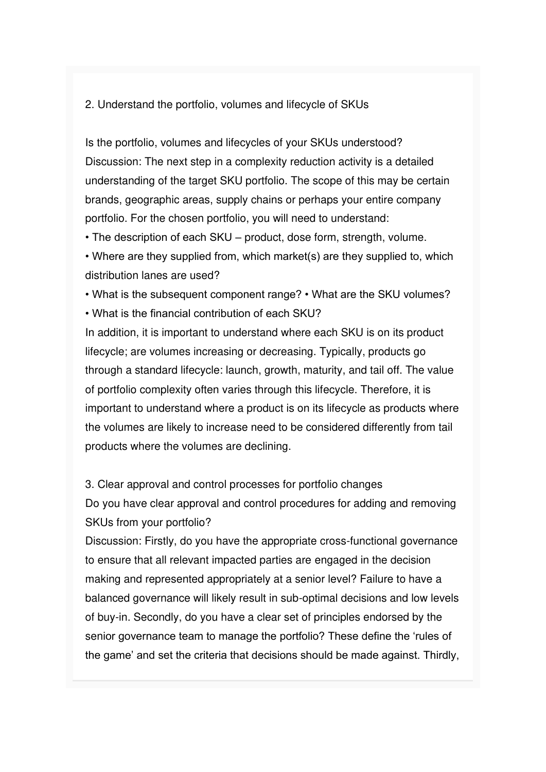#### 2. Understand the portfolio, volumes and lifecycle of SKUs

Is the portfolio, volumes and lifecycles of your SKUs understood? Discussion: The next step in a complexity reduction activity is a detailed understanding of the target SKU portfolio. The scope of this may be certain brands, geographic areas, supply chains or perhaps your entire company portfolio. For the chosen portfolio, you will need to understand:

• The description of each SKU – product, dose form, strength, volume.

• Where are they supplied from, which market(s) are they supplied to, which distribution lanes are used?

• What is the subsequent component range? • What are the SKU volumes?

• What is the financial contribution of each SKU?

In addition, it is important to understand where each SKU is on its product lifecycle; are volumes increasing or decreasing. Typically, products go through a standard lifecycle: launch, growth, maturity, and tail off. The value of portfolio complexity often varies through this lifecycle. Therefore, it is important to understand where a product is on its lifecycle as products where the volumes are likely to increase need to be considered differently from tail products where the volumes are declining.

3. Clear approval and control processes for portfolio changes Do you have clear approval and control procedures for adding and removing SKUs from your portfolio?

Discussion: Firstly, do you have the appropriate cross-functional governance to ensure that all relevant impacted parties are engaged in the decision making and represented appropriately at a senior level? Failure to have a balanced governance will likely result in sub-optimal decisions and low levels of buy-in. Secondly, do you have a clear set of principles endorsed by the senior governance team to manage the portfolio? These define the 'rules of the game' and set the criteria that decisions should be made against. Thirdly,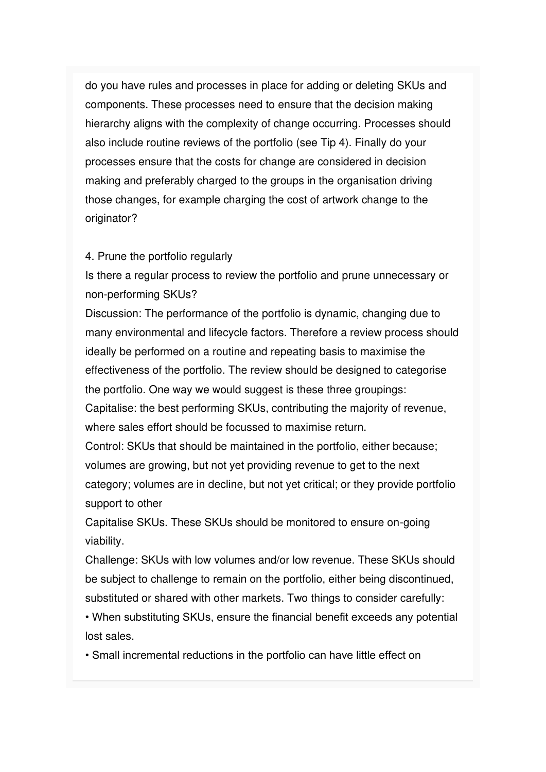do you have rules and processes in place for adding or deleting SKUs and components. These processes need to ensure that the decision making hierarchy aligns with the complexity of change occurring. Processes should also include routine reviews of the portfolio (see Tip 4). Finally do your processes ensure that the costs for change are considered in decision making and preferably charged to the groups in the organisation driving those changes, for example charging the cost of artwork change to the originator?

#### 4. Prune the portfolio regularly

Is there a regular process to review the portfolio and prune unnecessary or non-performing SKUs?

Discussion: The performance of the portfolio is dynamic, changing due to many environmental and lifecycle factors. Therefore a review process should ideally be performed on a routine and repeating basis to maximise the effectiveness of the portfolio. The review should be designed to categorise the portfolio. One way we would suggest is these three groupings:

Capitalise: the best performing SKUs, contributing the majority of revenue, where sales effort should be focussed to maximise return.

Control: SKUs that should be maintained in the portfolio, either because; volumes are growing, but not yet providing revenue to get to the next category; volumes are in decline, but not yet critical; or they provide portfolio support to other

Capitalise SKUs. These SKUs should be monitored to ensure on-going viability.

Challenge: SKUs with low volumes and/or low revenue. These SKUs should be subject to challenge to remain on the portfolio, either being discontinued, substituted or shared with other markets. Two things to consider carefully:

• When substituting SKUs, ensure the financial benefit exceeds any potential lost sales.

• Small incremental reductions in the portfolio can have little effect on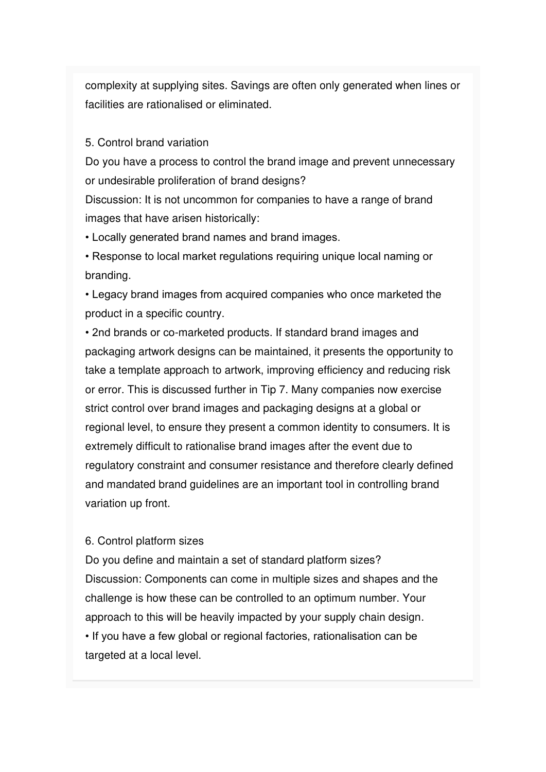complexity at supplying sites. Savings are often only generated when lines or facilities are rationalised or eliminated.

#### 5. Control brand variation

Do you have a process to control the brand image and prevent unnecessary or undesirable proliferation of brand designs?

Discussion: It is not uncommon for companies to have a range of brand images that have arisen historically:

• Locally generated brand names and brand images.

• Response to local market regulations requiring unique local naming or branding.

• Legacy brand images from acquired companies who once marketed the product in a specific country.

• 2nd brands or co-marketed products. If standard brand images and packaging artwork designs can be maintained, it presents the opportunity to take a template approach to artwork, improving efficiency and reducing risk or error. This is discussed further in Tip 7. Many companies now exercise strict control over brand images and packaging designs at a global or regional level, to ensure they present a common identity to consumers. It is extremely difficult to rationalise brand images after the event due to regulatory constraint and consumer resistance and therefore clearly defined and mandated brand guidelines are an important tool in controlling brand variation up front.

#### 6. Control platform sizes

Do you define and maintain a set of standard platform sizes? Discussion: Components can come in multiple sizes and shapes and the challenge is how these can be controlled to an optimum number. Your approach to this will be heavily impacted by your supply chain design. • If you have a few global or regional factories, rationalisation can be targeted at a local level.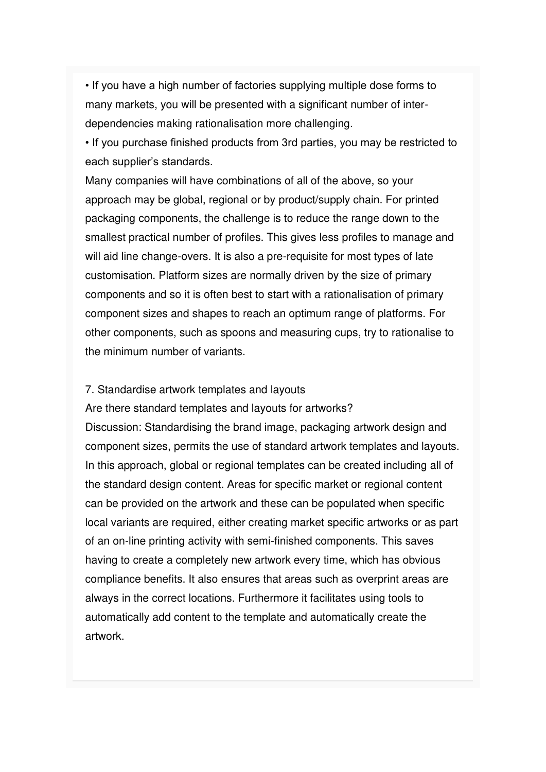• If you have a high number of factories supplying multiple dose forms to many markets, you will be presented with a significant number of interdependencies making rationalisation more challenging.

• If you purchase finished products from 3rd parties, you may be restricted to each supplier's standards.

Many companies will have combinations of all of the above, so your approach may be global, regional or by product/supply chain. For printed packaging components, the challenge is to reduce the range down to the smallest practical number of profiles. This gives less profiles to manage and will aid line change-overs. It is also a pre-requisite for most types of late customisation. Platform sizes are normally driven by the size of primary components and so it is often best to start with a rationalisation of primary component sizes and shapes to reach an optimum range of platforms. For other components, such as spoons and measuring cups, try to rationalise to the minimum number of variants.

#### 7. Standardise artwork templates and layouts

Are there standard templates and layouts for artworks? Discussion: Standardising the brand image, packaging artwork design and component sizes, permits the use of standard artwork templates and layouts. In this approach, global or regional templates can be created including all of the standard design content. Areas for specific market or regional content can be provided on the artwork and these can be populated when specific local variants are required, either creating market specific artworks or as part of an on-line printing activity with semi-finished components. This saves having to create a completely new artwork every time, which has obvious compliance benefits. It also ensures that areas such as overprint areas are always in the correct locations. Furthermore it facilitates using tools to automatically add content to the template and automatically create the artwork.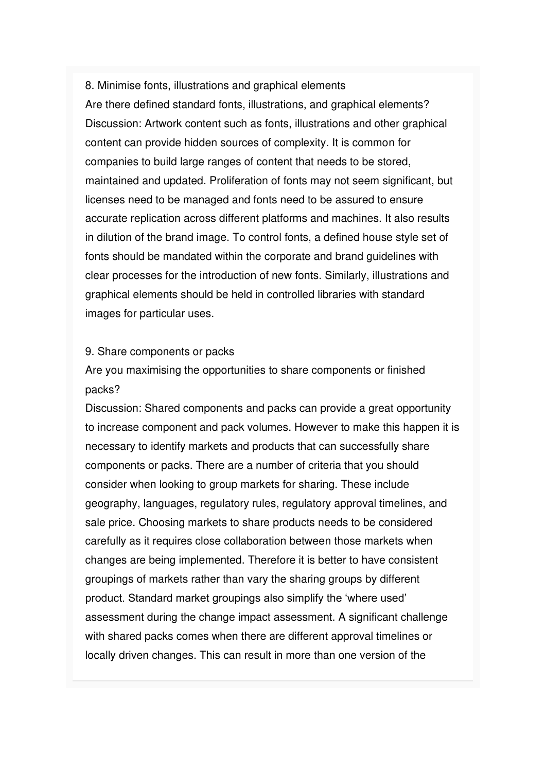8. Minimise fonts, illustrations and graphical elements Are there defined standard fonts, illustrations, and graphical elements? Discussion: Artwork content such as fonts, illustrations and other graphical content can provide hidden sources of complexity. It is common for companies to build large ranges of content that needs to be stored, maintained and updated. Proliferation of fonts may not seem significant, but licenses need to be managed and fonts need to be assured to ensure accurate replication across different platforms and machines. It also results in dilution of the brand image. To control fonts, a defined house style set of fonts should be mandated within the corporate and brand guidelines with clear processes for the introduction of new fonts. Similarly, illustrations and graphical elements should be held in controlled libraries with standard images for particular uses.

#### 9. Share components or packs

Are you maximising the opportunities to share components or finished packs?

Discussion: Shared components and packs can provide a great opportunity to increase component and pack volumes. However to make this happen it is necessary to identify markets and products that can successfully share components or packs. There are a number of criteria that you should consider when looking to group markets for sharing. These include geography, languages, regulatory rules, regulatory approval timelines, and sale price. Choosing markets to share products needs to be considered carefully as it requires close collaboration between those markets when changes are being implemented. Therefore it is better to have consistent groupings of markets rather than vary the sharing groups by different product. Standard market groupings also simplify the 'where used' assessment during the change impact assessment. A significant challenge with shared packs comes when there are different approval timelines or locally driven changes. This can result in more than one version of the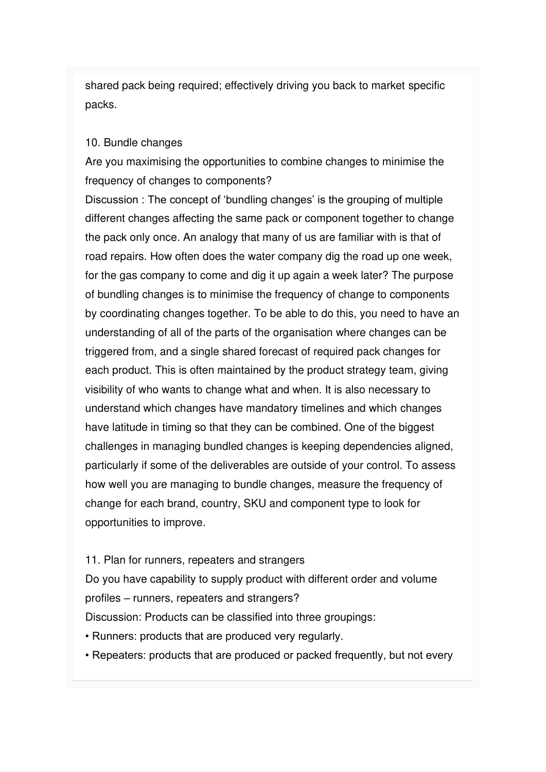shared pack being required; effectively driving you back to market specific packs.

#### 10. Bundle changes

Are you maximising the opportunities to combine changes to minimise the frequency of changes to components?

Discussion : The concept of 'bundling changes' is the grouping of multiple different changes affecting the same pack or component together to change the pack only once. An analogy that many of us are familiar with is that of road repairs. How often does the water company dig the road up one week, for the gas company to come and dig it up again a week later? The purpose of bundling changes is to minimise the frequency of change to components by coordinating changes together. To be able to do this, you need to have an understanding of all of the parts of the organisation where changes can be triggered from, and a single shared forecast of required pack changes for each product. This is often maintained by the product strategy team, giving visibility of who wants to change what and when. It is also necessary to understand which changes have mandatory timelines and which changes have latitude in timing so that they can be combined. One of the biggest challenges in managing bundled changes is keeping dependencies aligned, particularly if some of the deliverables are outside of your control. To assess how well you are managing to bundle changes, measure the frequency of change for each brand, country, SKU and component type to look for opportunities to improve.

#### 11. Plan for runners, repeaters and strangers

Do you have capability to supply product with different order and volume profiles – runners, repeaters and strangers? Discussion: Products can be classified into three groupings:

- Runners: products that are produced very regularly.
- Repeaters: products that are produced or packed frequently, but not every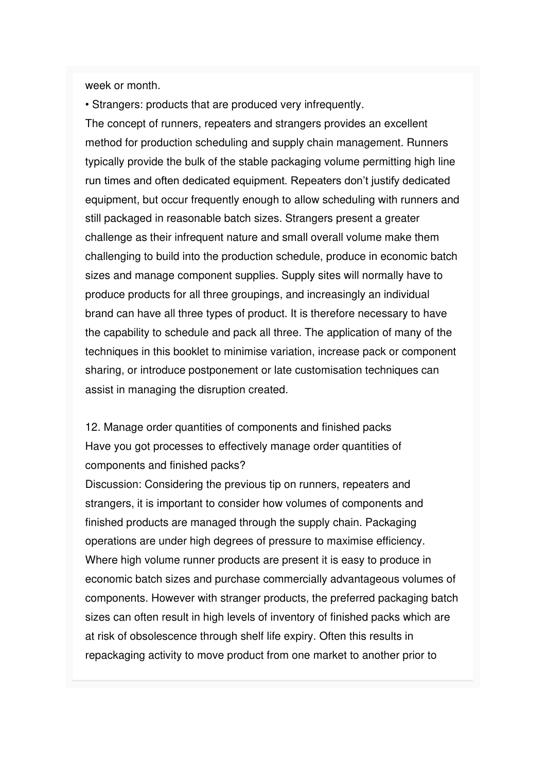week or month.

• Strangers: products that are produced very infrequently. The concept of runners, repeaters and strangers provides an excellent method for production scheduling and supply chain management. Runners typically provide the bulk of the stable packaging volume permitting high line run times and often dedicated equipment. Repeaters don't justify dedicated equipment, but occur frequently enough to allow scheduling with runners and still packaged in reasonable batch sizes. Strangers present a greater challenge as their infrequent nature and small overall volume make them challenging to build into the production schedule, produce in economic batch sizes and manage component supplies. Supply sites will normally have to produce products for all three groupings, and increasingly an individual brand can have all three types of product. It is therefore necessary to have the capability to schedule and pack all three. The application of many of the techniques in this booklet to minimise variation, increase pack or component sharing, or introduce postponement or late customisation techniques can assist in managing the disruption created.

12. Manage order quantities of components and finished packs Have you got processes to effectively manage order quantities of components and finished packs?

Discussion: Considering the previous tip on runners, repeaters and strangers, it is important to consider how volumes of components and finished products are managed through the supply chain. Packaging operations are under high degrees of pressure to maximise efficiency. Where high volume runner products are present it is easy to produce in economic batch sizes and purchase commercially advantageous volumes of components. However with stranger products, the preferred packaging batch sizes can often result in high levels of inventory of finished packs which are at risk of obsolescence through shelf life expiry. Often this results in repackaging activity to move product from one market to another prior to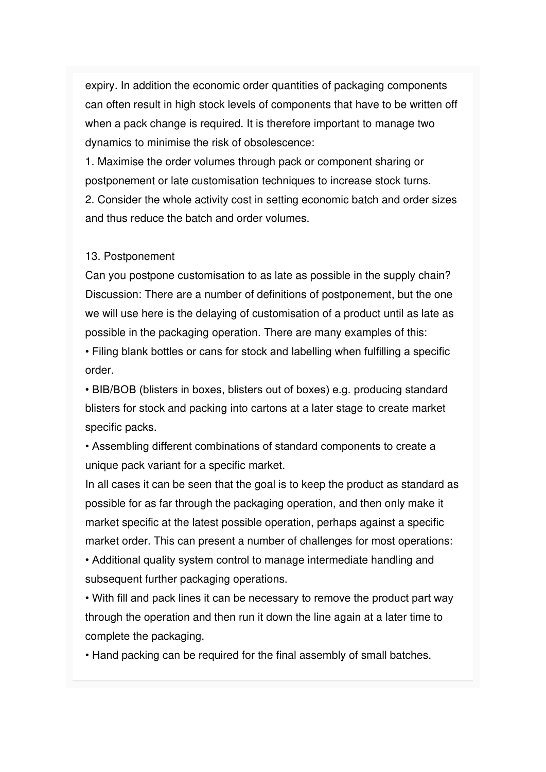expiry. In addition the economic order quantities of packaging components can often result in high stock levels of components that have to be written off when a pack change is required. It is therefore important to manage two dynamics to minimise the risk of obsolescence:

1. Maximise the order volumes through pack or component sharing or postponement or late customisation techniques to increase stock turns.

2. Consider the whole activity cost in setting economic batch and order sizes and thus reduce the batch and order volumes.

#### 13. Postponement

Can you postpone customisation to as late as possible in the supply chain? Discussion: There are a number of definitions of postponement, but the one we will use here is the delaying of customisation of a product until as late as possible in the packaging operation. There are many examples of this:

• Filing blank bottles or cans for stock and labelling when fulfilling a specific order.

• BIB/BOB (blisters in boxes, blisters out of boxes) e.g. producing standard blisters for stock and packing into cartons at a later stage to create market specific packs.

• Assembling different combinations of standard components to create a unique pack variant for a specific market.

In all cases it can be seen that the goal is to keep the product as standard as possible for as far through the packaging operation, and then only make it market specific at the latest possible operation, perhaps against a specific market order. This can present a number of challenges for most operations: • Additional quality system control to manage intermediate handling and

subsequent further packaging operations.

• With fill and pack lines it can be necessary to remove the product part way through the operation and then run it down the line again at a later time to complete the packaging.

• Hand packing can be required for the final assembly of small batches.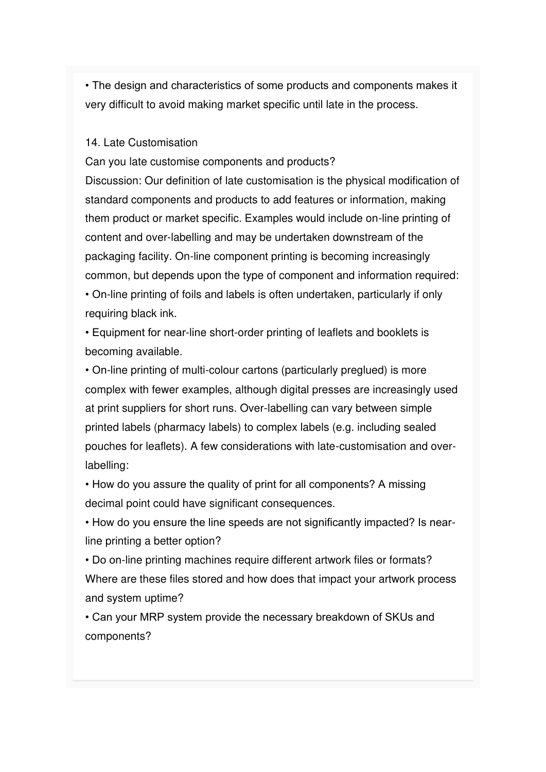• The design and characteristics of some products and components makes it very difficult to avoid making market specific until late in the process.

#### 14. Late Customisation

Can you late customise components and products?

Discussion: Our definition of late customisation is the physical modification of standard components and products to add features or information, making them product or market specific. Examples would include on-line printing of content and over-labelling and may be undertaken downstream of the packaging facility. On-line component printing is becoming increasingly common, but depends upon the type of component and information required: • On-line printing of foils and labels is often undertaken, particularly if only requiring black ink.

• Equipment for near-line short-order printing of leaflets and booklets is becoming available.

• On-line printing of multi-colour cartons (particularly preglued) is more complex with fewer examples, although digital presses are increasingly used at print suppliers for short runs. Over-labelling can vary between simple printed labels (pharmacy labels) to complex labels (e.g. including sealed pouches for leaflets). A few considerations with late-customisation and overlabelling:

• How do you assure the quality of print for all components? A missing decimal point could have significant consequences.

• How do you ensure the line speeds are not significantly impacted? Is nearline printing a better option?

• Do on-line printing machines require different artwork files or formats? Where are these files stored and how does that impact your artwork process and system uptime?

• Can your MRP system provide the necessary breakdown of SKUs and components?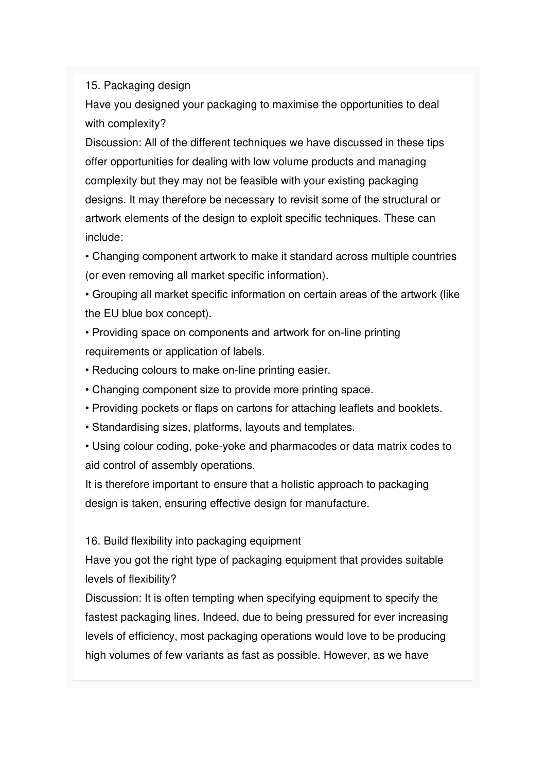#### 15. Packaging design

Have you designed your packaging to maximise the opportunities to deal with complexity?

Discussion: All of the different techniques we have discussed in these tips offer opportunities for dealing with low volume products and managing complexity but they may not be feasible with your existing packaging designs. It may therefore be necessary to revisit some of the structural or artwork elements of the design to exploit specific techniques. These can include:

• Changing component artwork to make it standard across multiple countries (or even removing all market specific information).

• Grouping all market specific information on certain areas of the artwork (like the EU blue box concept).

• Providing space on components and artwork for on-line printing requirements or application of labels.

- Reducing colours to make on-line printing easier.
- Changing component size to provide more printing space.
- Providing pockets or flaps on cartons for attaching leaflets and booklets.
- Standardising sizes, platforms, layouts and templates.

• Using colour coding, poke-yoke and pharmacodes or data matrix codes to aid control of assembly operations.

It is therefore important to ensure that a holistic approach to packaging design is taken, ensuring effective design for manufacture.

16. Build flexibility into packaging equipment

Have you got the right type of packaging equipment that provides suitable levels of flexibility?

Discussion: It is often tempting when specifying equipment to specify the fastest packaging lines. Indeed, due to being pressured for ever increasing levels of efficiency, most packaging operations would love to be producing high volumes of few variants as fast as possible. However, as we have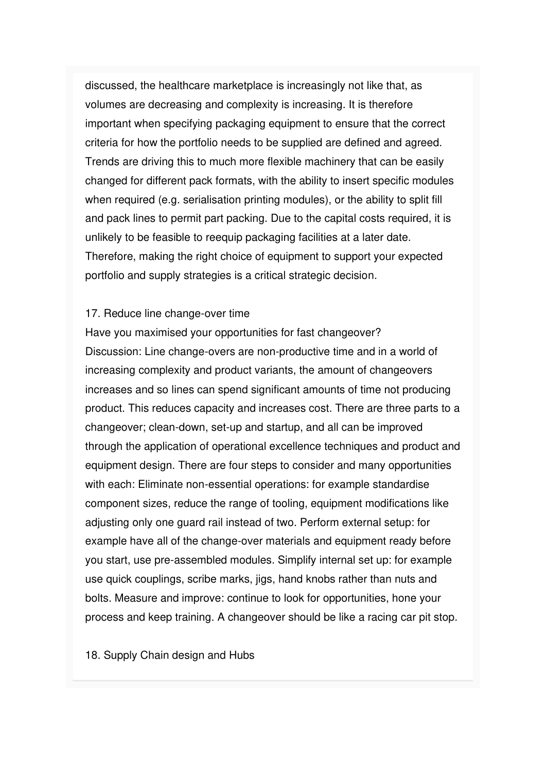discussed, the healthcare marketplace is increasingly not like that, as volumes are decreasing and complexity is increasing. It is therefore important when specifying packaging equipment to ensure that the correct criteria for how the portfolio needs to be supplied are defined and agreed. Trends are driving this to much more flexible machinery that can be easily changed for different pack formats, with the ability to insert specific modules when required (e.g. serialisation printing modules), or the ability to split fill and pack lines to permit part packing. Due to the capital costs required, it is unlikely to be feasible to reequip packaging facilities at a later date. Therefore, making the right choice of equipment to support your expected portfolio and supply strategies is a critical strategic decision.

#### 17. Reduce line change-over time

Have you maximised your opportunities for fast changeover? Discussion: Line change-overs are non-productive time and in a world of increasing complexity and product variants, the amount of changeovers increases and so lines can spend significant amounts of time not producing product. This reduces capacity and increases cost. There are three parts to a changeover; clean-down, set-up and startup, and all can be improved through the application of operational excellence techniques and product and equipment design. There are four steps to consider and many opportunities with each: Eliminate non-essential operations: for example standardise component sizes, reduce the range of tooling, equipment modifications like adjusting only one guard rail instead of two. Perform external setup: for example have all of the change-over materials and equipment ready before you start, use pre-assembled modules. Simplify internal set up: for example use quick couplings, scribe marks, jigs, hand knobs rather than nuts and bolts. Measure and improve: continue to look for opportunities, hone your process and keep training. A changeover should be like a racing car pit stop.

18. Supply Chain design and Hubs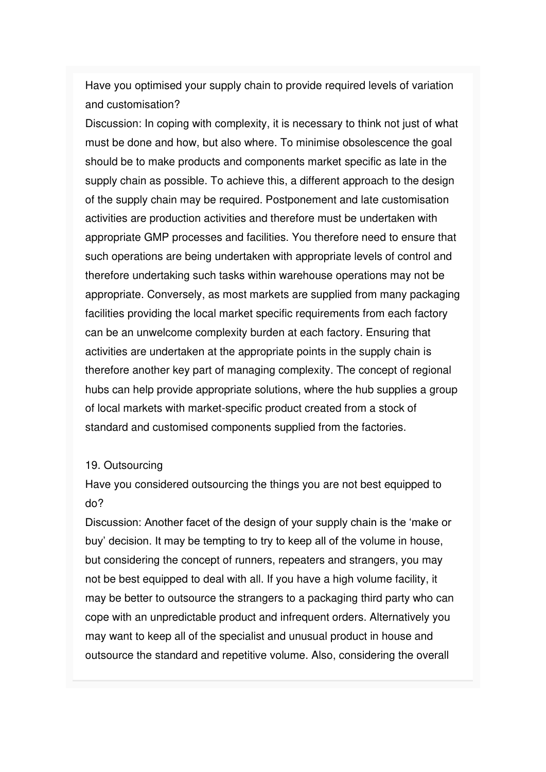Have you optimised your supply chain to provide required levels of variation and customisation?

Discussion: In coping with complexity, it is necessary to think not just of what must be done and how, but also where. To minimise obsolescence the goal should be to make products and components market specific as late in the supply chain as possible. To achieve this, a different approach to the design of the supply chain may be required. Postponement and late customisation activities are production activities and therefore must be undertaken with appropriate GMP processes and facilities. You therefore need to ensure that such operations are being undertaken with appropriate levels of control and therefore undertaking such tasks within warehouse operations may not be appropriate. Conversely, as most markets are supplied from many packaging facilities providing the local market specific requirements from each factory can be an unwelcome complexity burden at each factory. Ensuring that activities are undertaken at the appropriate points in the supply chain is therefore another key part of managing complexity. The concept of regional hubs can help provide appropriate solutions, where the hub supplies a group of local markets with market-specific product created from a stock of standard and customised components supplied from the factories.

#### 19. Outsourcing

Have you considered outsourcing the things you are not best equipped to do?

Discussion: Another facet of the design of your supply chain is the 'make or buy' decision. It may be tempting to try to keep all of the volume in house, but considering the concept of runners, repeaters and strangers, you may not be best equipped to deal with all. If you have a high volume facility, it may be better to outsource the strangers to a packaging third party who can cope with an unpredictable product and infrequent orders. Alternatively you may want to keep all of the specialist and unusual product in house and outsource the standard and repetitive volume. Also, considering the overall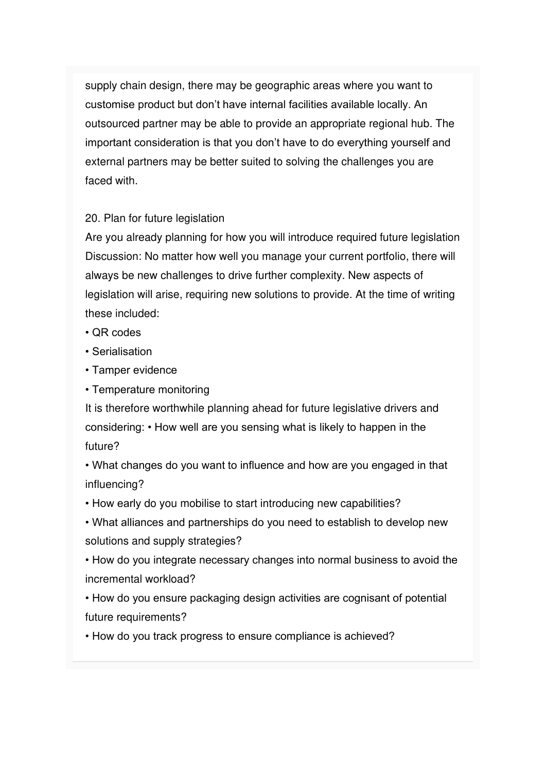supply chain design, there may be geographic areas where you want to customise product but don't have internal facilities available locally. An outsourced partner may be able to provide an appropriate regional hub. The important consideration is that you don't have to do everything yourself and external partners may be better suited to solving the challenges you are faced with.

#### 20. Plan for future legislation

Are you already planning for how you will introduce required future legislation Discussion: No matter how well you manage your current portfolio, there will always be new challenges to drive further complexity. New aspects of legislation will arise, requiring new solutions to provide. At the time of writing these included:

- QR codes
- Serialisation
- Tamper evidence
- Temperature monitoring

It is therefore worthwhile planning ahead for future legislative drivers and considering: • How well are you sensing what is likely to happen in the future?

• What changes do you want to influence and how are you engaged in that influencing?

- How early do you mobilise to start introducing new capabilities?
- What alliances and partnerships do you need to establish to develop new solutions and supply strategies?

• How do you integrate necessary changes into normal business to avoid the incremental workload?

• How do you ensure packaging design activities are cognisant of potential future requirements?

• How do you track progress to ensure compliance is achieved?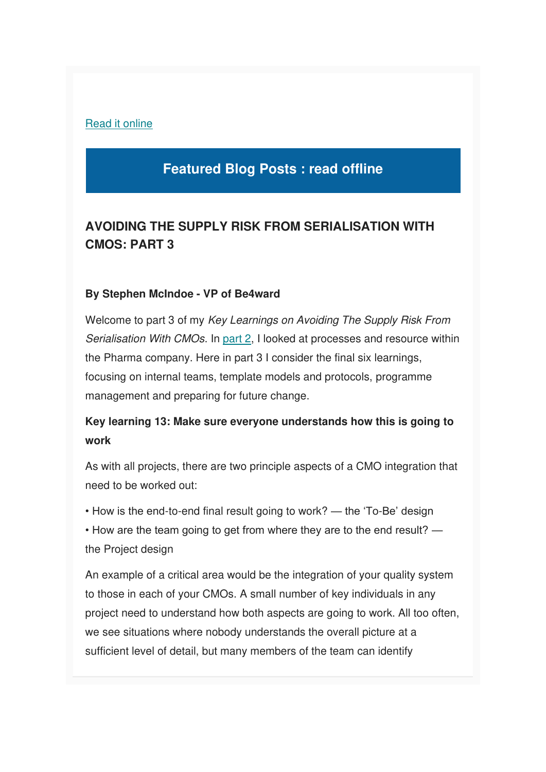#### [Read it online](https://mcusercontent.com/e26c7f2af713739ac392fa0ba/files/a775ec7b-66e6-4855-b9e1-f97dd762b9ec/Top_20_Packaging_Complexity_Tips_Be4ward.pdf)

## **Featured Blog Posts : read offline**

### **AVOIDING THE SUPPLY RISK FROM SERIALISATION WITH CMOS: PART 3**

#### **By Stephen McIndoe - VP of Be4ward**

Welcome to part 3 of my Key Learnings on Avoiding The Supply Risk From Serialisation With CMOs. In [part 2,](https://www.be4ward.com/blogstephenmcindoe/2019/10/30/avoiding-the-supply-risk-from-serialisation-with-cmos-part-2-2/) I looked at processes and resource within the Pharma company. Here in part 3 I consider the final six learnings, focusing on internal teams, template models and protocols, programme management and preparing for future change.

### **Key learning 13: Make sure everyone understands how this is going to work**

As with all projects, there are two principle aspects of a CMO integration that need to be worked out:

• How is the end-to-end final result going to work? — the 'To-Be' design • How are the team going to get from where they are to the end result? the Project design

An example of a critical area would be the integration of your quality system to those in each of your CMOs. A small number of key individuals in any project need to understand how both aspects are going to work. All too often, we see situations where nobody understands the overall picture at a sufficient level of detail, but many members of the team can identify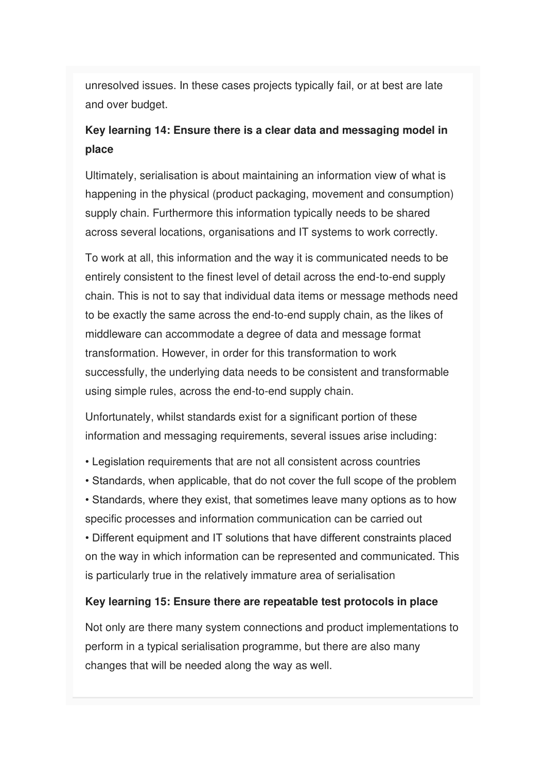unresolved issues. In these cases projects typically fail, or at best are late and over budget.

### **Key learning 14: Ensure there is a clear data and messaging model in place**

Ultimately, serialisation is about maintaining an information view of what is happening in the physical (product packaging, movement and consumption) supply chain. Furthermore this information typically needs to be shared across several locations, organisations and IT systems to work correctly.

To work at all, this information and the way it is communicated needs to be entirely consistent to the finest level of detail across the end-to-end supply chain. This is not to say that individual data items or message methods need to be exactly the same across the end-to-end supply chain, as the likes of middleware can accommodate a degree of data and message format transformation. However, in order for this transformation to work successfully, the underlying data needs to be consistent and transformable using simple rules, across the end-to-end supply chain.

Unfortunately, whilst standards exist for a significant portion of these information and messaging requirements, several issues arise including:

- Legislation requirements that are not all consistent across countries
- Standards, when applicable, that do not cover the full scope of the problem
- Standards, where they exist, that sometimes leave many options as to how specific processes and information communication can be carried out

• Different equipment and IT solutions that have different constraints placed on the way in which information can be represented and communicated. This is particularly true in the relatively immature area of serialisation

#### **Key learning 15: Ensure there are repeatable test protocols in place**

Not only are there many system connections and product implementations to perform in a typical serialisation programme, but there are also many changes that will be needed along the way as well.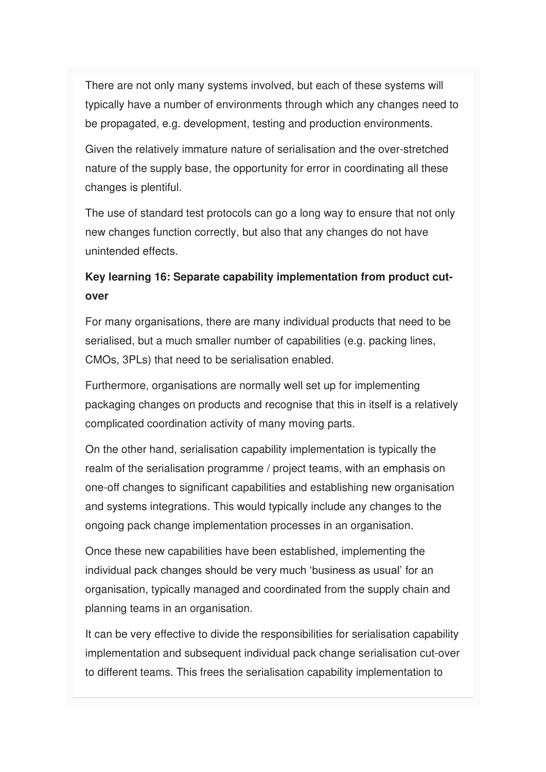There are not only many systems involved, but each of these systems will typically have a number of environments through which any changes need to be propagated, e.g. development, testing and production environments.

Given the relatively immature nature of serialisation and the over-stretched nature of the supply base, the opportunity for error in coordinating all these changes is plentiful.

The use of standard test protocols can go a long way to ensure that not only new changes function correctly, but also that any changes do not have unintended effects.

### **Key learning 16: Separate capability implementation from product cutover**

For many organisations, there are many individual products that need to be serialised, but a much smaller number of capabilities (e.g. packing lines, CMOs, 3PLs) that need to be serialisation enabled.

Furthermore, organisations are normally well set up for implementing packaging changes on products and recognise that this in itself is a relatively complicated coordination activity of many moving parts.

On the other hand, serialisation capability implementation is typically the realm of the serialisation programme / project teams, with an emphasis on one-off changes to significant capabilities and establishing new organisation and systems integrations. This would typically include any changes to the ongoing pack change implementation processes in an organisation.

Once these new capabilities have been established, implementing the individual pack changes should be very much 'business as usual' for an organisation, typically managed and coordinated from the supply chain and planning teams in an organisation.

It can be very effective to divide the responsibilities for serialisation capability implementation and subsequent individual pack change serialisation cut-over to different teams. This frees the serialisation capability implementation to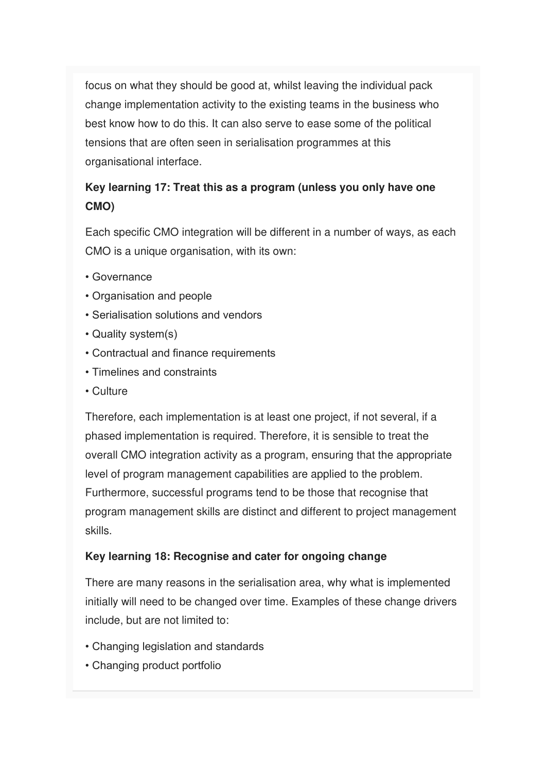focus on what they should be good at, whilst leaving the individual pack change implementation activity to the existing teams in the business who best know how to do this. It can also serve to ease some of the political tensions that are often seen in serialisation programmes at this organisational interface.

## **Key learning 17: Treat this as a program (unless you only have one CMO)**

Each specific CMO integration will be different in a number of ways, as each CMO is a unique organisation, with its own:

- Governance
- Organisation and people
- Serialisation solutions and vendors
- Quality system(s)
- Contractual and finance requirements
- Timelines and constraints
- Culture

Therefore, each implementation is at least one project, if not several, if a phased implementation is required. Therefore, it is sensible to treat the overall CMO integration activity as a program, ensuring that the appropriate level of program management capabilities are applied to the problem. Furthermore, successful programs tend to be those that recognise that program management skills are distinct and different to project management skills.

#### **Key learning 18: Recognise and cater for ongoing change**

There are many reasons in the serialisation area, why what is implemented initially will need to be changed over time. Examples of these change drivers include, but are not limited to:

- Changing legislation and standards
- Changing product portfolio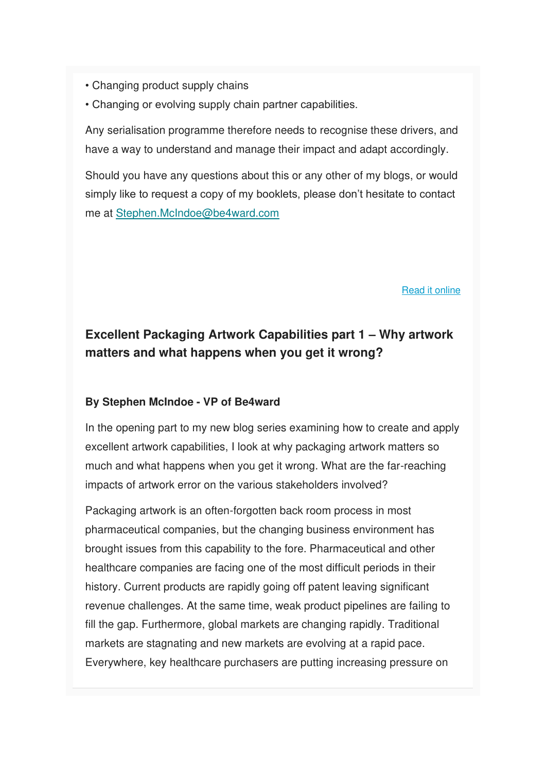- Changing product supply chains
- Changing or evolving supply chain partner capabilities.

Any serialisation programme therefore needs to recognise these drivers, and have a way to understand and manage their impact and adapt accordingly.

Should you have any questions about this or any other of my blogs, or would simply like to request a copy of my booklets, please don't hesitate to contact me at [Stephen.McIndoe@be4ward.com](mailto:Stephen.McIndoe@be4ward.com)

[Read it online](https://www.be4ward.com/blogstephenmcindoe/2019/11/30/avoiding-the-supply-risk-from-serialisation-with-cmos-part-3-2/)

### **Excellent Packaging Artwork Capabilities part 1 – Why artwork matters and what happens when you get it wrong?**

#### **By Stephen McIndoe - VP of Be4ward**

In the opening part to my new blog series examining how to create and apply excellent artwork capabilities, I look at why packaging artwork matters so much and what happens when you get it wrong. What are the far-reaching impacts of artwork error on the various stakeholders involved?

Packaging artwork is an often-forgotten back room process in most pharmaceutical companies, but the changing business environment has brought issues from this capability to the fore. Pharmaceutical and other healthcare companies are facing one of the most difficult periods in their history. Current products are rapidly going off patent leaving significant revenue challenges. At the same time, weak product pipelines are failing to fill the gap. Furthermore, global markets are changing rapidly. Traditional markets are stagnating and new markets are evolving at a rapid pace. Everywhere, key healthcare purchasers are putting increasing pressure on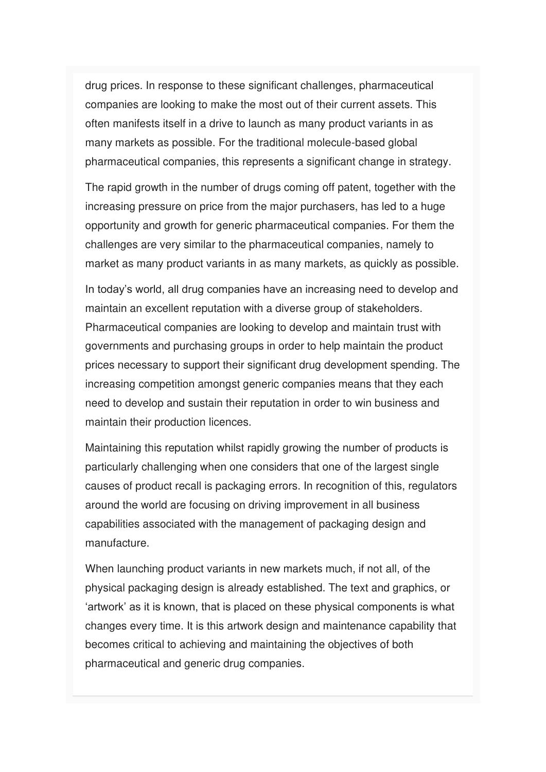drug prices. In response to these significant challenges, pharmaceutical companies are looking to make the most out of their current assets. This often manifests itself in a drive to launch as many product variants in as many markets as possible. For the traditional molecule-based global pharmaceutical companies, this represents a significant change in strategy.

The rapid growth in the number of drugs coming off patent, together with the increasing pressure on price from the major purchasers, has led to a huge opportunity and growth for generic pharmaceutical companies. For them the challenges are very similar to the pharmaceutical companies, namely to market as many product variants in as many markets, as quickly as possible.

In today's world, all drug companies have an increasing need to develop and maintain an excellent reputation with a diverse group of stakeholders. Pharmaceutical companies are looking to develop and maintain trust with governments and purchasing groups in order to help maintain the product prices necessary to support their significant drug development spending. The increasing competition amongst generic companies means that they each need to develop and sustain their reputation in order to win business and maintain their production licences.

Maintaining this reputation whilst rapidly growing the number of products is particularly challenging when one considers that one of the largest single causes of product recall is packaging errors. In recognition of this, regulators around the world are focusing on driving improvement in all business capabilities associated with the management of packaging design and manufacture.

When launching product variants in new markets much, if not all, of the physical packaging design is already established. The text and graphics, or 'artwork' as it is known, that is placed on these physical components is what changes every time. It is this artwork design and maintenance capability that becomes critical to achieving and maintaining the objectives of both pharmaceutical and generic drug companies.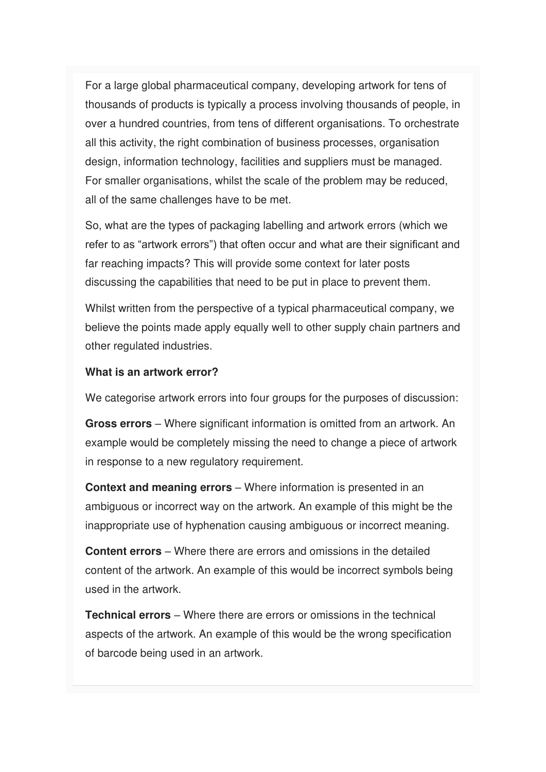For a large global pharmaceutical company, developing artwork for tens of thousands of products is typically a process involving thousands of people, in over a hundred countries, from tens of different organisations. To orchestrate all this activity, the right combination of business processes, organisation design, information technology, facilities and suppliers must be managed. For smaller organisations, whilst the scale of the problem may be reduced, all of the same challenges have to be met.

So, what are the types of packaging labelling and artwork errors (which we refer to as "artwork errors") that often occur and what are their significant and far reaching impacts? This will provide some context for later posts discussing the capabilities that need to be put in place to prevent them.

Whilst written from the perspective of a typical pharmaceutical company, we believe the points made apply equally well to other supply chain partners and other regulated industries.

#### **What is an artwork error?**

We categorise artwork errors into four groups for the purposes of discussion:

**Gross errors** – Where significant information is omitted from an artwork. An example would be completely missing the need to change a piece of artwork in response to a new regulatory requirement.

**Context and meaning errors** – Where information is presented in an ambiguous or incorrect way on the artwork. An example of this might be the inappropriate use of hyphenation causing ambiguous or incorrect meaning.

**Content errors** – Where there are errors and omissions in the detailed content of the artwork. An example of this would be incorrect symbols being used in the artwork.

**Technical errors** – Where there are errors or omissions in the technical aspects of the artwork. An example of this would be the wrong specification of barcode being used in an artwork.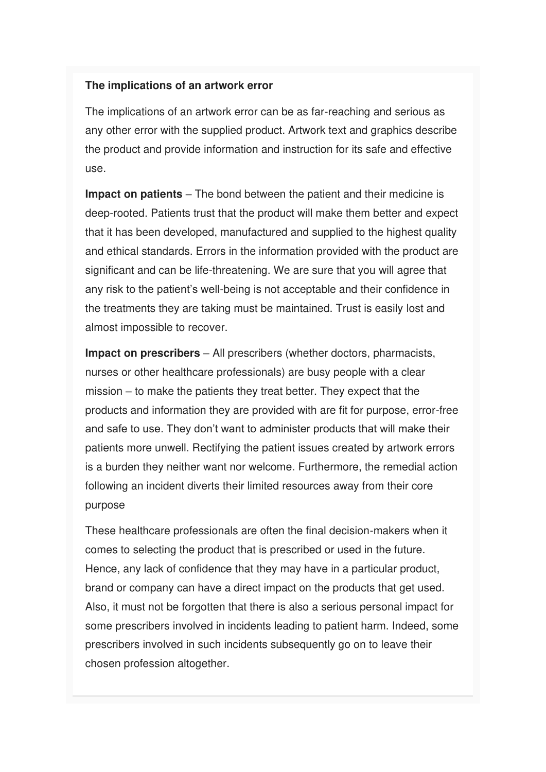#### **The implications of an artwork error**

The implications of an artwork error can be as far-reaching and serious as any other error with the supplied product. Artwork text and graphics describe the product and provide information and instruction for its safe and effective use.

**Impact on patients** – The bond between the patient and their medicine is deep-rooted. Patients trust that the product will make them better and expect that it has been developed, manufactured and supplied to the highest quality and ethical standards. Errors in the information provided with the product are significant and can be life-threatening. We are sure that you will agree that any risk to the patient's well-being is not acceptable and their confidence in the treatments they are taking must be maintained. Trust is easily lost and almost impossible to recover.

**Impact on prescribers** – All prescribers (whether doctors, pharmacists, nurses or other healthcare professionals) are busy people with a clear mission – to make the patients they treat better. They expect that the products and information they are provided with are fit for purpose, error-free and safe to use. They don't want to administer products that will make their patients more unwell. Rectifying the patient issues created by artwork errors is a burden they neither want nor welcome. Furthermore, the remedial action following an incident diverts their limited resources away from their core purpose

These healthcare professionals are often the final decision-makers when it comes to selecting the product that is prescribed or used in the future. Hence, any lack of confidence that they may have in a particular product, brand or company can have a direct impact on the products that get used. Also, it must not be forgotten that there is also a serious personal impact for some prescribers involved in incidents leading to patient harm. Indeed, some prescribers involved in such incidents subsequently go on to leave their chosen profession altogether.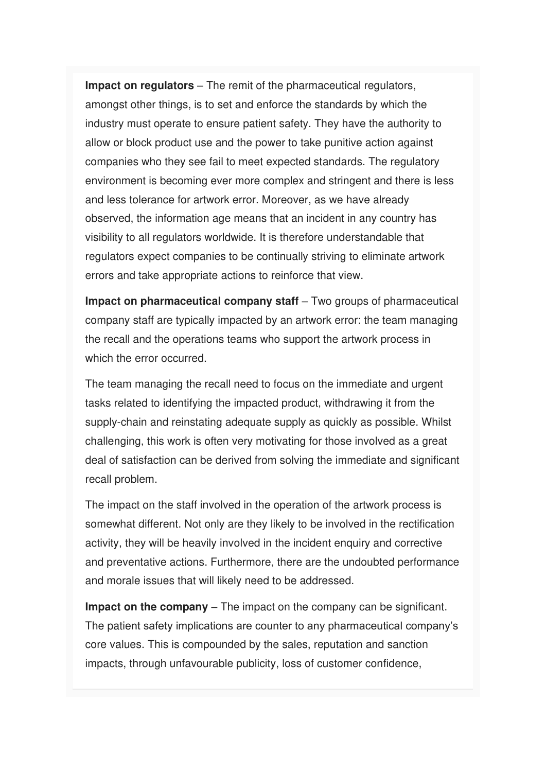**Impact on regulators** – The remit of the pharmaceutical regulators, amongst other things, is to set and enforce the standards by which the industry must operate to ensure patient safety. They have the authority to allow or block product use and the power to take punitive action against companies who they see fail to meet expected standards. The regulatory environment is becoming ever more complex and stringent and there is less and less tolerance for artwork error. Moreover, as we have already observed, the information age means that an incident in any country has visibility to all regulators worldwide. It is therefore understandable that regulators expect companies to be continually striving to eliminate artwork errors and take appropriate actions to reinforce that view.

**Impact on pharmaceutical company staff** – Two groups of pharmaceutical company staff are typically impacted by an artwork error: the team managing the recall and the operations teams who support the artwork process in which the error occurred.

The team managing the recall need to focus on the immediate and urgent tasks related to identifying the impacted product, withdrawing it from the supply-chain and reinstating adequate supply as quickly as possible. Whilst challenging, this work is often very motivating for those involved as a great deal of satisfaction can be derived from solving the immediate and significant recall problem.

The impact on the staff involved in the operation of the artwork process is somewhat different. Not only are they likely to be involved in the rectification activity, they will be heavily involved in the incident enquiry and corrective and preventative actions. Furthermore, there are the undoubted performance and morale issues that will likely need to be addressed.

**Impact on the company** – The impact on the company can be significant. The patient safety implications are counter to any pharmaceutical company's core values. This is compounded by the sales, reputation and sanction impacts, through unfavourable publicity, loss of customer confidence,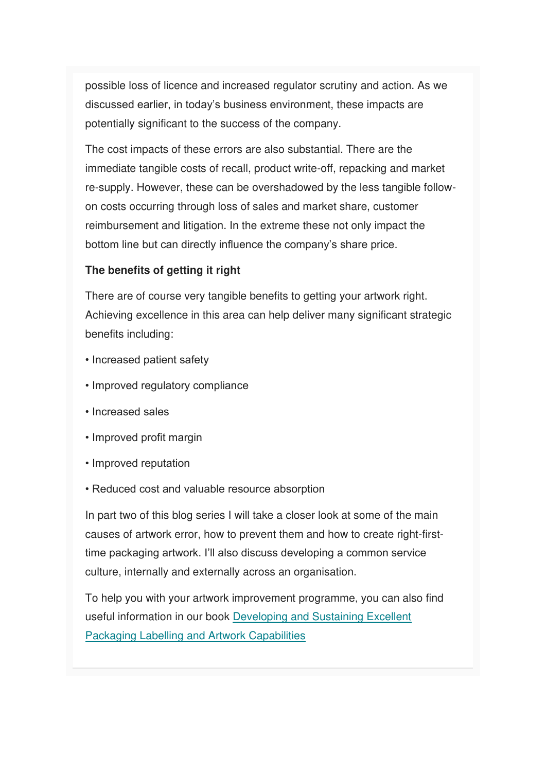possible loss of licence and increased regulator scrutiny and action. As we discussed earlier, in today's business environment, these impacts are potentially significant to the success of the company.

The cost impacts of these errors are also substantial. There are the immediate tangible costs of recall, product write-off, repacking and market re-supply. However, these can be overshadowed by the less tangible followon costs occurring through loss of sales and market share, customer reimbursement and litigation. In the extreme these not only impact the bottom line but can directly influence the company's share price.

#### **The benefits of getting it right**

There are of course very tangible benefits to getting your artwork right. Achieving excellence in this area can help deliver many significant strategic benefits including:

- Increased patient safety
- Improved regulatory compliance
- Increased sales
- Improved profit margin
- Improved reputation
- Reduced cost and valuable resource absorption

In part two of this blog series I will take a closer look at some of the main causes of artwork error, how to prevent them and how to create right-firsttime packaging artwork. I'll also discuss developing a common service culture, internally and externally across an organisation.

To help you with your artwork improvement programme, you can also find useful information in our book [Developing and Sustaining Excellent](https://www.amazon.co.uk/Developing-Sustaining-Excellent-Packaging-Capabilities-ebook/dp/B008GUX88C)  [Packaging Labelling and Artwork Capabilities](https://www.amazon.co.uk/Developing-Sustaining-Excellent-Packaging-Capabilities-ebook/dp/B008GUX88C)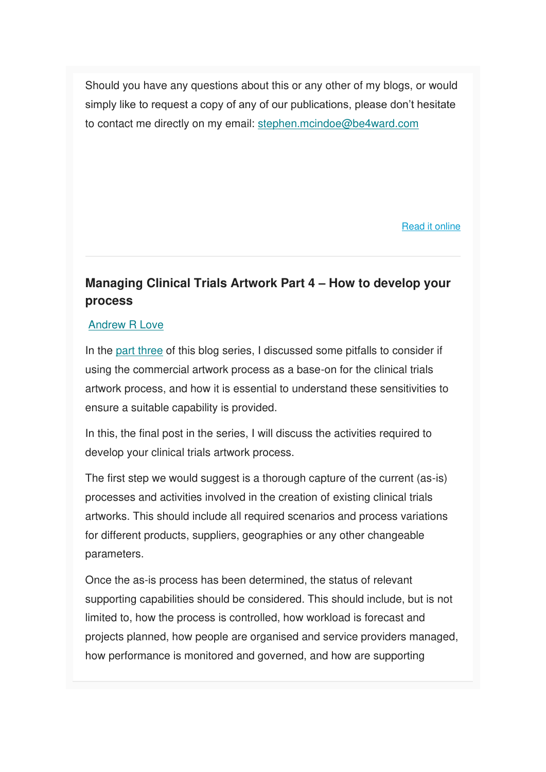Should you have any questions about this or any other of my blogs, or would simply like to request a copy of any of our publications, please don't hesitate to contact me directly on my email: [stephen.mcindoe@be4ward.com](mailto:stephen.mcindoe@be4ward.com)

[Read it online](https://www.be4ward.com/blogstephenmcindoe/2020/01/30/excellent_packaging_artwork_1/)

### **Managing Clinical Trials Artwork Part 4 – How to develop your process**

#### [Andrew R Love](https://www.be4ward.com/blogandrewrlove/author/stefan/)

In the [part three](https://www.be4ward.com/blogandrewrlove/2019/11/30/managing-clinical-trials-artwork-part-3-pitfalls-to-avoid/) of this blog series, I discussed some pitfalls to consider if using the commercial artwork process as a base-on for the clinical trials artwork process, and how it is essential to understand these sensitivities to ensure a suitable capability is provided.

In this, the final post in the series, I will discuss the activities required to develop your clinical trials artwork process.

The first step we would suggest is a thorough capture of the current (as-is) processes and activities involved in the creation of existing clinical trials artworks. This should include all required scenarios and process variations for different products, suppliers, geographies or any other changeable parameters.

Once the as-is process has been determined, the status of relevant supporting capabilities should be considered. This should include, but is not limited to, how the process is controlled, how workload is forecast and projects planned, how people are organised and service providers managed, how performance is monitored and governed, and how are supporting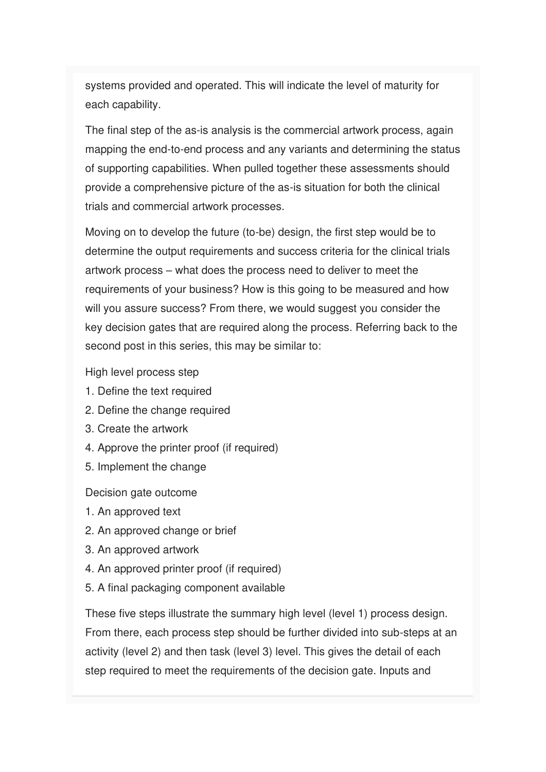systems provided and operated. This will indicate the level of maturity for each capability.

The final step of the as-is analysis is the commercial artwork process, again mapping the end-to-end process and any variants and determining the status of supporting capabilities. When pulled together these assessments should provide a comprehensive picture of the as-is situation for both the clinical trials and commercial artwork processes.

Moving on to develop the future (to-be) design, the first step would be to determine the output requirements and success criteria for the clinical trials artwork process – what does the process need to deliver to meet the requirements of your business? How is this going to be measured and how will you assure success? From there, we would suggest you consider the key decision gates that are required along the process. Referring back to the second post in this series, this may be similar to:

High level process step

- 1. Define the text required
- 2. Define the change required
- 3. Create the artwork
- 4. Approve the printer proof (if required)
- 5. Implement the change

Decision gate outcome

- 1. An approved text
- 2. An approved change or brief
- 3. An approved artwork
- 4. An approved printer proof (if required)
- 5. A final packaging component available

These five steps illustrate the summary high level (level 1) process design. From there, each process step should be further divided into sub-steps at an activity (level 2) and then task (level 3) level. This gives the detail of each step required to meet the requirements of the decision gate. Inputs and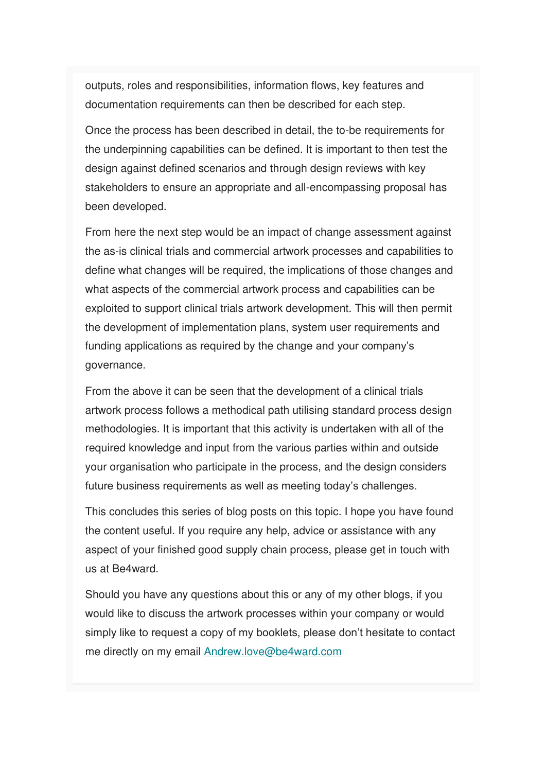outputs, roles and responsibilities, information flows, key features and documentation requirements can then be described for each step.

Once the process has been described in detail, the to-be requirements for the underpinning capabilities can be defined. It is important to then test the design against defined scenarios and through design reviews with key stakeholders to ensure an appropriate and all-encompassing proposal has been developed.

From here the next step would be an impact of change assessment against the as-is clinical trials and commercial artwork processes and capabilities to define what changes will be required, the implications of those changes and what aspects of the commercial artwork process and capabilities can be exploited to support clinical trials artwork development. This will then permit the development of implementation plans, system user requirements and funding applications as required by the change and your company's governance.

From the above it can be seen that the development of a clinical trials artwork process follows a methodical path utilising standard process design methodologies. It is important that this activity is undertaken with all of the required knowledge and input from the various parties within and outside your organisation who participate in the process, and the design considers future business requirements as well as meeting today's challenges.

This concludes this series of blog posts on this topic. I hope you have found the content useful. If you require any help, advice or assistance with any aspect of your finished good supply chain process, please get in touch with us at Be4ward.

Should you have any questions about this or any of my other blogs, if you would like to discuss the artwork processes within your company or would simply like to request a copy of my booklets, please don't hesitate to contact me directly on my email [Andrew.love@be4ward.com](mailto:Andrew.love@be4ward.com)